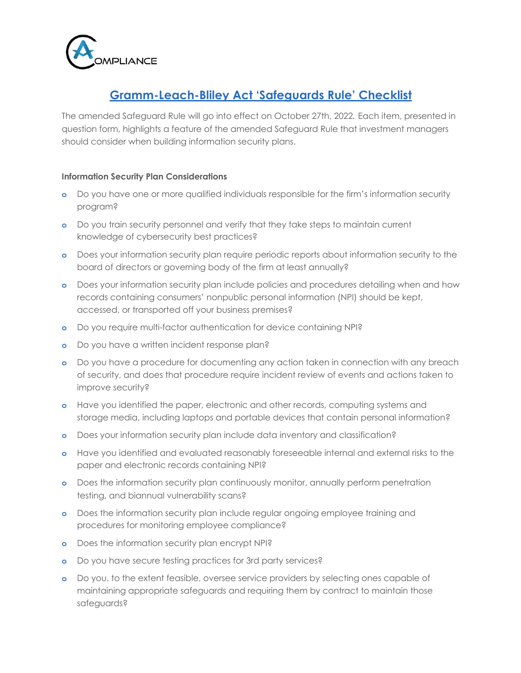

## **Gramm-Leach-Bliley Act 'Safeguards Rule' Checklist**

The amended Safeguard Rule will go into effect on October 27th, 2022*.* Each item, presented in question form, highlights a feature of the amended Safeguard Rule that investment managers should consider when building information security plans.

## **Information Security Plan Considerations**

- **o** Do you have one or more qualified individuals responsible for the firm's information security program?
- **o** Do you train security personnel and verify that they take steps to maintain current knowledge of cybersecurity best practices?
- **o** Does your information security plan require periodic reports about information security to the board of directors or governing body of the firm at least annually?
- **o** Does your information security plan include policies and procedures detailing when and how records containing consumers' nonpublic personal information (NPI) should be kept, accessed, or transported off your business premises?
- **o** Do you require multi-factor authentication for device containing NPI?
- **o** Do you have a written incident response plan?
- **o** Do you have a procedure for documenting any action taken in connection with any breach of security, and does that procedure require incident review of events and actions taken to improve security?
- **o** Have you identified the paper, electronic and other records, computing systems and storage media, including laptops and portable devices that contain personal information?
- **o** Does your information security plan include data inventory and classification?
- **o** Have you identified and evaluated reasonably foreseeable internal and external risks to the paper and electronic records containing NPI?
- **o** Does the information security plan continuously monitor, annually perform penetration testing, and biannual vulnerability scans?
- **o** Does the information security plan include regular ongoing employee training and procedures for monitoring employee compliance?
- **o** Does the information security plan encrypt NPI?
- **o** Do you have secure testing practices for 3rd party services?
- **o** Do you, to the extent feasible, oversee service providers by selecting ones capable of maintaining appropriate safeguards and requiring them by contract to maintain those safeguards?